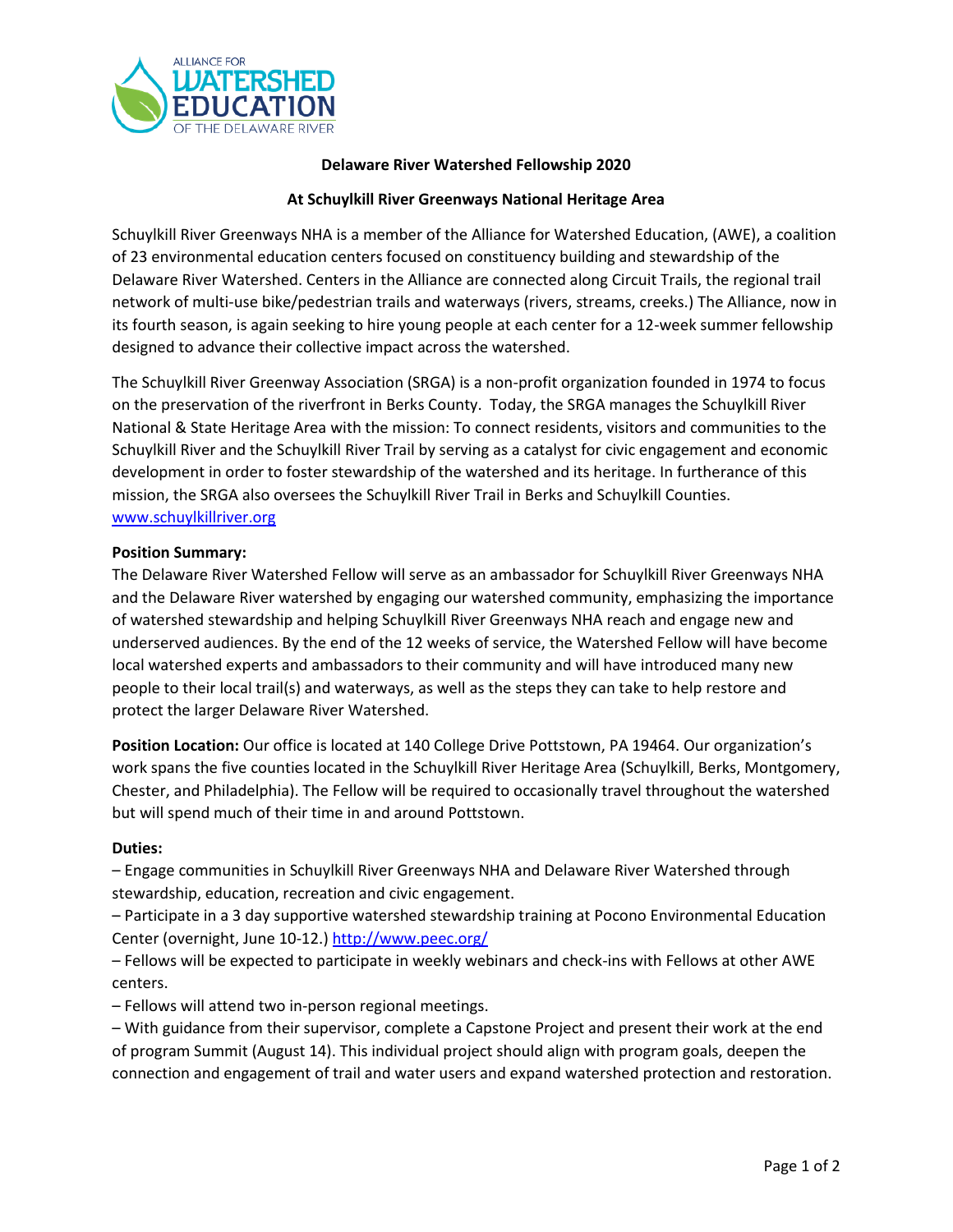

## **Delaware River Watershed Fellowship 2020**

## **At Schuylkill River Greenways National Heritage Area**

Schuylkill River Greenways NHA is a member of the Alliance for Watershed Education, (AWE), a coalition of 23 environmental education centers focused on constituency building and stewardship of the Delaware River Watershed. Centers in the Alliance are connected along Circuit Trails, the regional trail network of multi-use bike/pedestrian trails and waterways (rivers, streams, creeks.) The Alliance, now in its fourth season, is again seeking to hire young people at each center for a 12-week summer fellowship designed to advance their collective impact across the watershed.

The Schuylkill River Greenway Association (SRGA) is a non-profit organization founded in 1974 to focus on the preservation of the riverfront in Berks County. Today, the SRGA manages the Schuylkill River National & State Heritage Area with the mission: To connect residents, visitors and communities to the Schuylkill River and the Schuylkill River Trail by serving as a catalyst for civic engagement and economic development in order to foster stewardship of the watershed and its heritage. In furtherance of this mission, the SRGA also oversees the Schuylkill River Trail in Berks and Schuylkill Counties. [www.schuylkillriver.org](http://www.schuylkillriver.org/)

## **Position Summary:**

The Delaware River Watershed Fellow will serve as an ambassador for Schuylkill River Greenways NHA and the Delaware River watershed by engaging our watershed community, emphasizing the importance of watershed stewardship and helping Schuylkill River Greenways NHA reach and engage new and underserved audiences. By the end of the 12 weeks of service, the Watershed Fellow will have become local watershed experts and ambassadors to their community and will have introduced many new people to their local trail(s) and waterways, as well as the steps they can take to help restore and protect the larger Delaware River Watershed.

**Position Location:** Our office is located at 140 College Drive Pottstown, PA 19464. Our organization's work spans the five counties located in the Schuylkill River Heritage Area (Schuylkill, Berks, Montgomery, Chester, and Philadelphia). The Fellow will be required to occasionally travel throughout the watershed but will spend much of their time in and around Pottstown.

#### **Duties:**

– Engage communities in Schuylkill River Greenways NHA and Delaware River Watershed through stewardship, education, recreation and civic engagement.

– Participate in a 3 day supportive watershed stewardship training at Pocono Environmental Education Center (overnight, June 10-12.) <http://www.peec.org/>

– Fellows will be expected to participate in weekly webinars and check-ins with Fellows at other AWE centers.

– Fellows will attend two in-person regional meetings.

– With guidance from their supervisor, complete a Capstone Project and present their work at the end of program Summit (August 14). This individual project should align with program goals, deepen the connection and engagement of trail and water users and expand watershed protection and restoration.